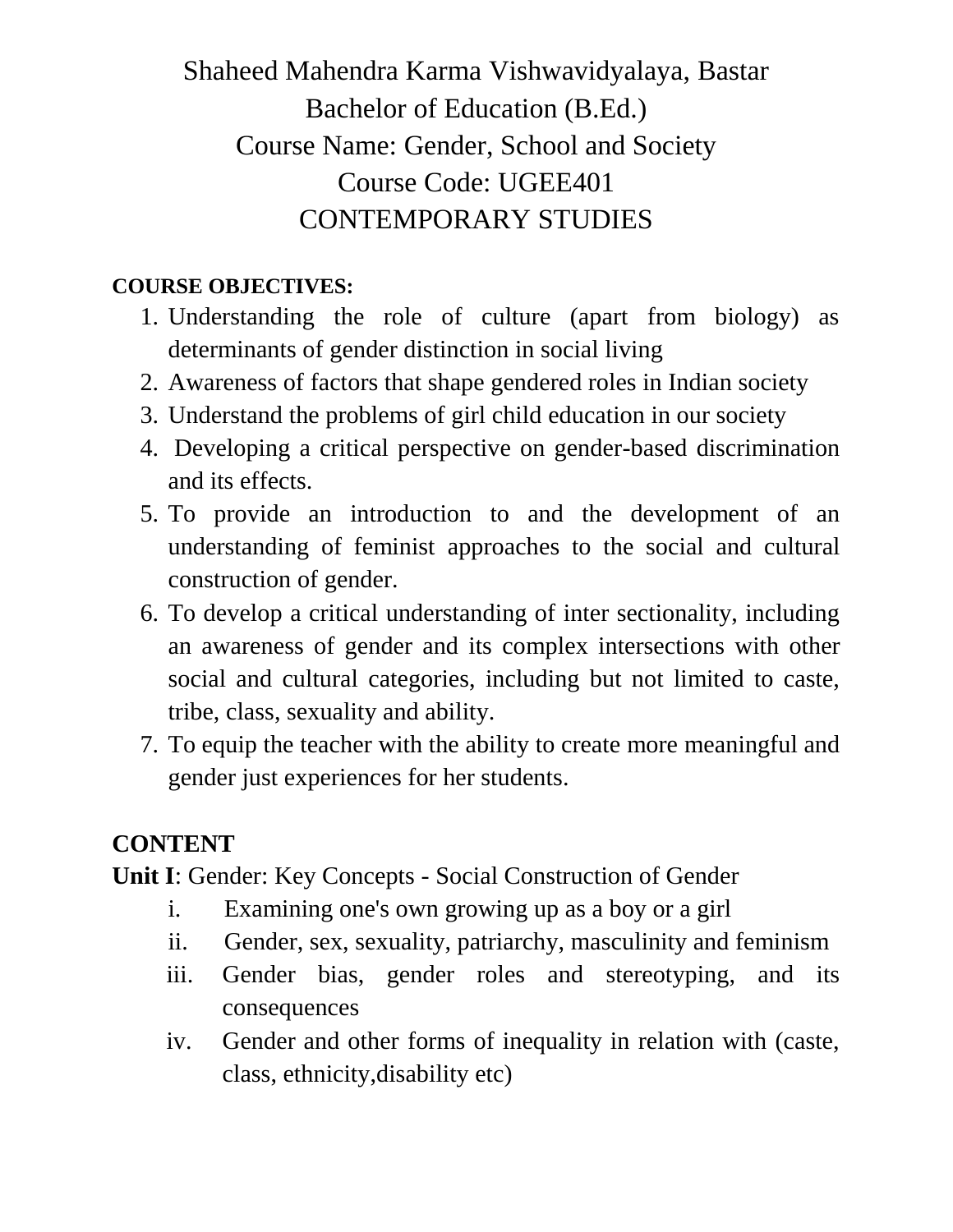## Shaheed Mahendra Karma Vishwavidyalaya, Bastar Bachelor of Education (B.Ed.) Course Name: Gender, School and Society Course Code: UGEE401 CONTEMPORARY STUDIES

## **COURSE OBJECTIVES:**

- 1. Understanding the role of culture (apart from biology) as determinants of gender distinction in social living
- 2. Awareness of factors that shape gendered roles in Indian society
- 3. Understand the problems of girl child education in our society
- 4. Developing a critical perspective on gender-based discrimination and its effects.
- 5. To provide an introduction to and the development of an understanding of feminist approaches to the social and cultural construction of gender.
- 6. To develop a critical understanding of inter sectionality, including an awareness of gender and its complex intersections with other social and cultural categories, including but not limited to caste, tribe, class, sexuality and ability.
- 7. To equip the teacher with the ability to create more meaningful and gender just experiences for her students.

## **CONTENT**

**Unit I**: Gender: Key Concepts - Social Construction of Gender

- i. Examining one's own growing up as a boy or a girl
- ii. Gender, sex, sexuality, patriarchy, masculinity and feminism
- iii. Gender bias, gender roles and stereotyping, and its consequences
- iv. Gender and other forms of inequality in relation with (caste, class, ethnicity,disability etc)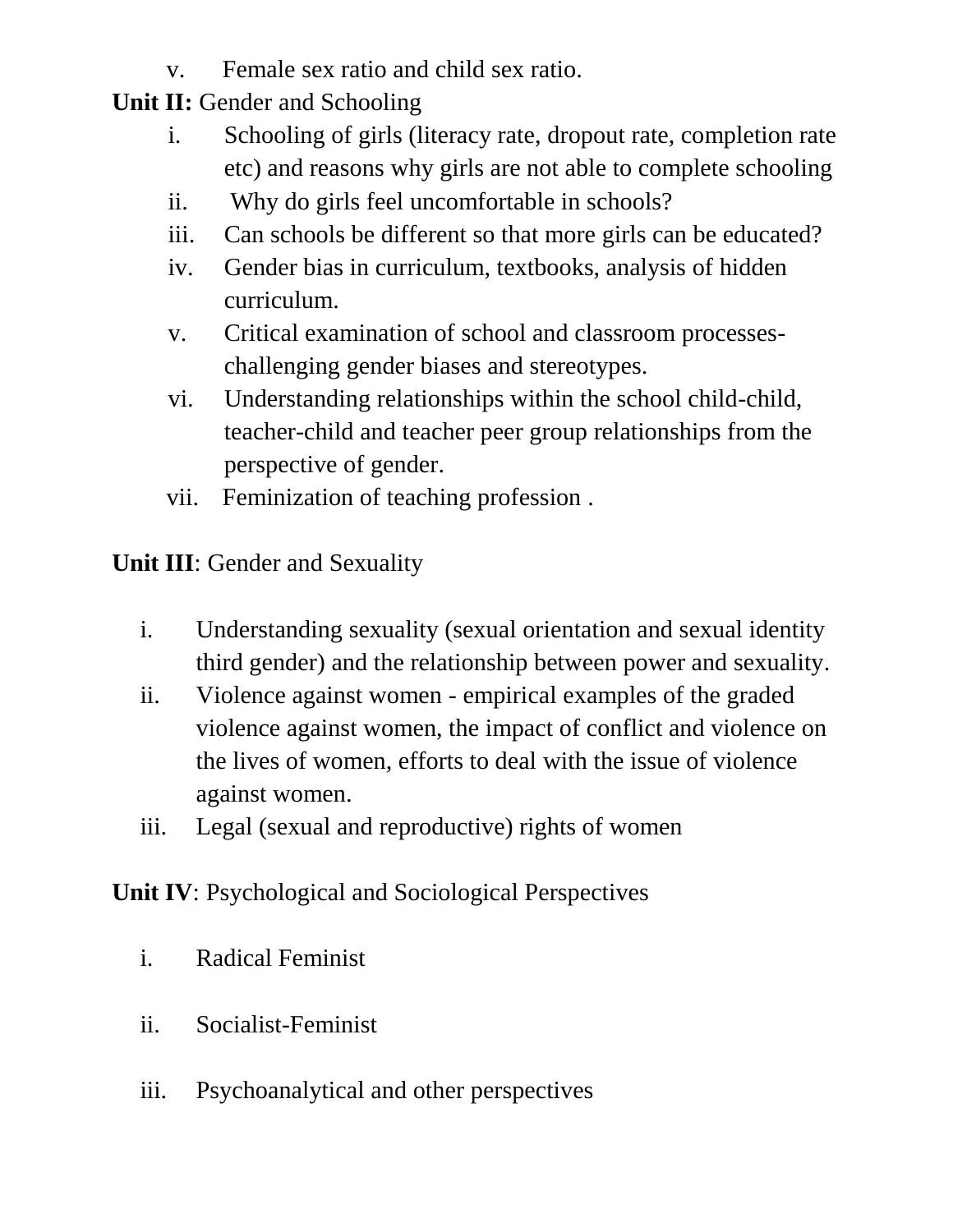- v. Female sex ratio and child sex ratio.
- **Unit II:** Gender and Schooling
	- i. Schooling of girls (literacy rate, dropout rate, completion rate etc) and reasons why girls are not able to complete schooling
	- ii. Why do girls feel uncomfortable in schools?
	- iii. Can schools be different so that more girls can be educated?
	- iv. Gender bias in curriculum, textbooks, analysis of hidden curriculum.
	- v. Critical examination of school and classroom processeschallenging gender biases and stereotypes.
	- vi. Understanding relationships within the school child-child, teacher-child and teacher peer group relationships from the perspective of gender.
	- vii. Feminization of teaching profession .

**Unit III**: Gender and Sexuality

- i. Understanding sexuality (sexual orientation and sexual identity third gender) and the relationship between power and sexuality.
- ii. Violence against women empirical examples of the graded violence against women, the impact of conflict and violence on the lives of women, efforts to deal with the issue of violence against women.
- iii. Legal (sexual and reproductive) rights of women

**Unit IV**: Psychological and Sociological Perspectives

- i. Radical Feminist
- ii. Socialist-Feminist
- iii. Psychoanalytical and other perspectives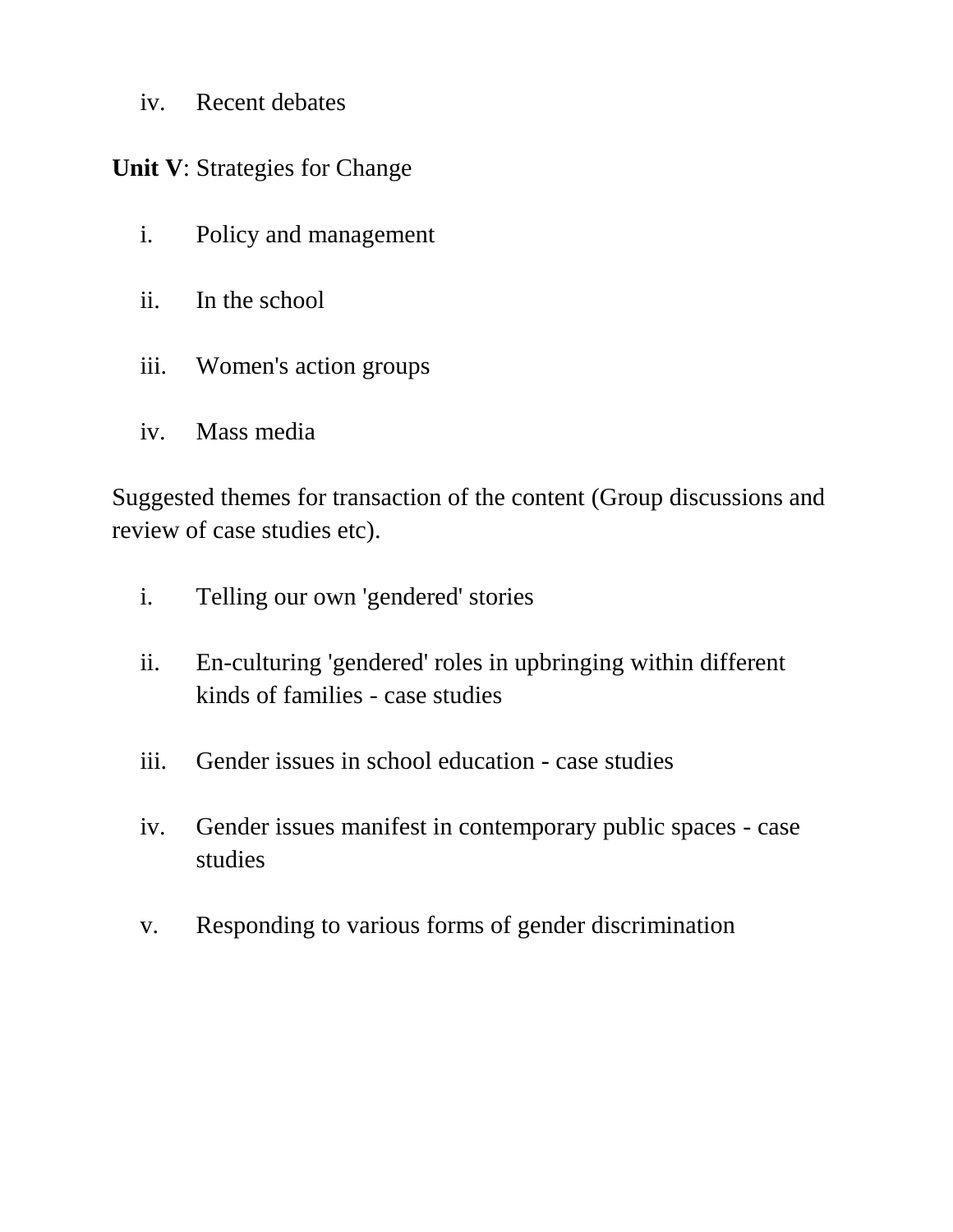iv. Recent debates

**Unit V**: Strategies for Change

- i. Policy and management
- ii. In the school
- iii. Women's action groups
- iv. Mass media

Suggested themes for transaction of the content (Group discussions and review of case studies etc).

- i. Telling our own 'gendered' stories
- ii. En-culturing 'gendered' roles in upbringing within different kinds of families - case studies
- iii. Gender issues in school education case studies
- iv. Gender issues manifest in contemporary public spaces case studies
- v. Responding to various forms of gender discrimination